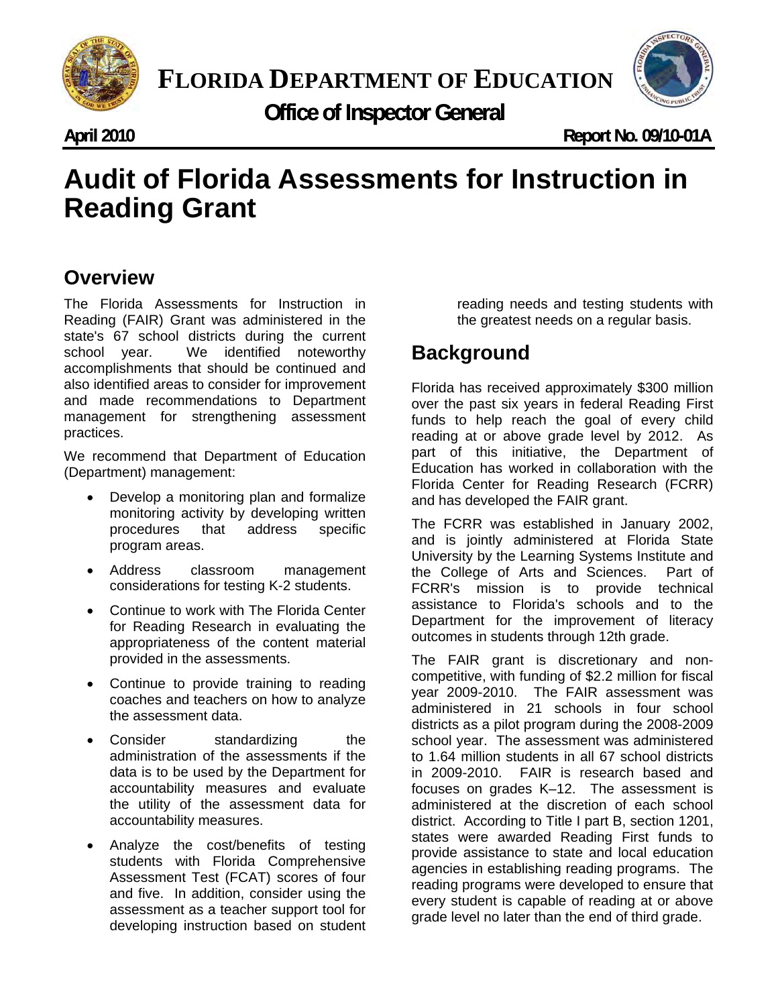

**FLORIDA DEPARTMENT OF EDUCATION**

**Office of Inspector General** 

**April 2010 ril** 

**Ap Report No. 09/10-01A** 

## **udit of Florida Assessments for Instructi**<br>Peading Grant **Audit of Florida Assessments for Instruction in Reading Grant**

## **Overview**

The Florida Assessments for Instruction in Reading (FAIR) Grant was administered in the state's 67 school districts during the current school year. We identified noteworthy accomplishments that should be continued and also identified areas to consider for improvement and made recommendations to Department management for strengthening assessment practices.

We recommend that Department of Education (Department) management:

- Develop a monitoring plan and formalize monitoring activity by developing written procedures that address specific program areas.
- Address classroom management considerations for testing K-2 students.
- Continue to work with The Florida Center for Reading Research in evaluating the appropriateness of the content material provided in the assessments.
- Continue to provide training to reading coaches and teachers on how to analyze the assessment data.
- Consider standardizing the administration of the assessments if the data is to be used by the Department for accountability measures and evaluate the utility of the assessment data for accountability measures.
- Analyze the cost/benefits of testing students with Florida Comprehensive Assessment Test (FCAT) scores of four and five. In addition, consider using the assessment as a teacher support tool for developing instruction based on student

reading needs and testing students with the greatest needs on a regular basis.

## **Background**

Florida has received approximately \$300 million over the past six years in federal Reading First funds to help reach the goal of every child reading at or above grade level by 2012. As part of this initiative, the Department of Education has worked in collaboration with the Florida Center for Reading Research (FCRR) and has developed the FAIR grant.

The FCRR was established in January 2002, and is jointly administered at Florida State University by the Learning Systems Institute and the College of Arts and Sciences. Part of FCRR's mission is to provide technical assistance to Florida's schools and to the Department for the improvement of literacy outcomes in students through 12th grade.

The FAIR grant is discretionary and noncompetitive, with funding of \$2.2 million for fiscal year 2009-2010. The FAIR assessment was administered in 21 schools in four school districts as a pilot program during the 2008-2009 school year. The assessment was administered to 1.64 million students in all 67 school districts in 2009-2010. FAIR is research based and focuses on grades K–12. The assessment is administered at the discretion of each school district. According to Title I part B, section 1201, states were awarded Reading First funds to provide assistance to state and local education agencies in establishing reading programs. The reading programs were developed to ensure that every student is capable of reading at or above grade level no later than the end of third grade.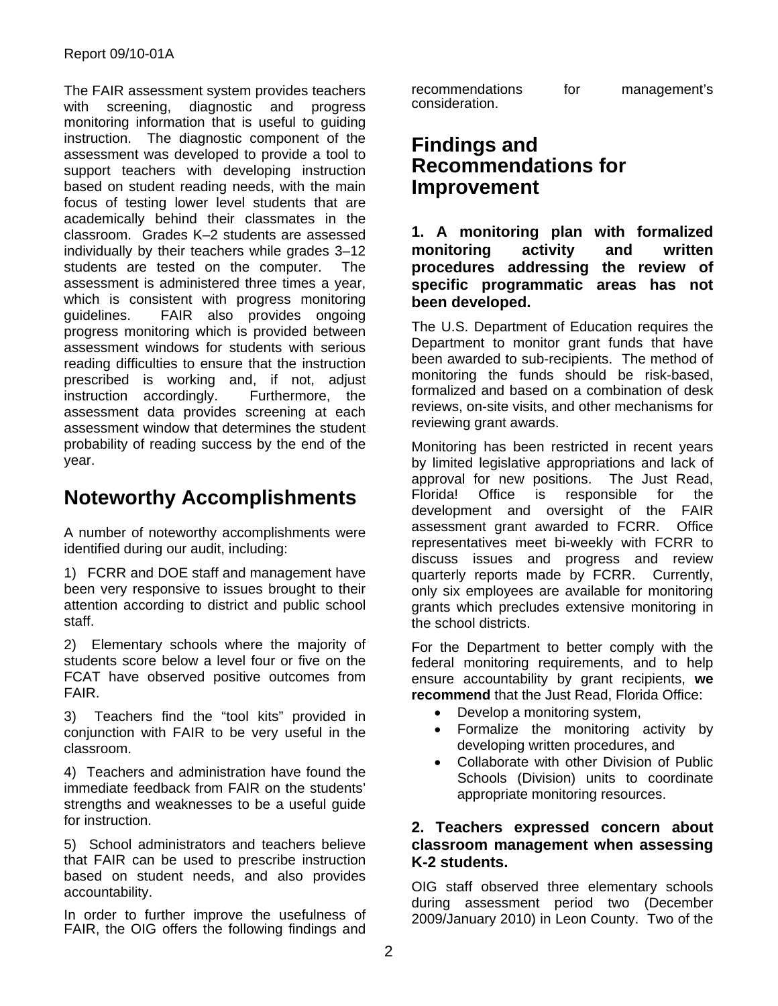The FAIR assessment system provides teachers with screening, diagnostic and progress monitoring information that is useful to guiding instruction. The diagnostic component of the assessment was developed to provide a tool to support teachers with developing instruction based on student reading needs, with the main focus of testing lower level students that are academically behind their classmates in the classroom. Grades K–2 students are assessed individually by their teachers while grades 3–12 students are tested on the computer. The assessment is administered three times a year, which is consistent with progress monitoring guidelines. FAIR also provides ongoing progress monitoring which is provided between assessment windows for students with serious reading difficulties to ensure that the instruction prescribed is working and, if not, adjust instruction accordingly. Furthermore, the assessment data provides screening at each assessment window that determines the student probability of reading success by the end of the year.

## **Noteworthy Accomplishments**

A number of noteworthy accomplishments were identified during our audit, including:

1) FCRR and DOE staff and management have been very responsive to issues brought to their attention according to district and public school staff.

2) Elementary schools where the majority of students score below a level four or five on the FCAT have observed positive outcomes from FAIR.

3) Teachers find the "tool kits" provided in conjunction with FAIR to be very useful in the classroom.

4) Teachers and administration have found the immediate feedback from FAIR on the students' strengths and weaknesses to be a useful guide for instruction.

5) School administrators and teachers believe that FAIR can be used to prescribe instruction based on student needs, and also provides accountability.

In order to further improve the usefulness of FAIR, the OIG offers the following findings and recommendations for management's consideration.

### **Findings and Recommendations for Improvement**

**1. A monitoring plan with formalized monitoring activity and written procedures addressing the review of specific programmatic areas has not been developed.** 

The U.S. Department of Education requires the Department to monitor grant funds that have been awarded to sub-recipients. The method of monitoring the funds should be risk-based, formalized and based on a combination of desk reviews, on-site visits, and other mechanisms for reviewing grant awards.

Monitoring has been restricted in recent years by limited legislative appropriations and lack of approval for new positions. The Just Read, Florida! Office is responsible for the development and oversight of the FAIR assessment grant awarded to FCRR. Office representatives meet bi-weekly with FCRR to discuss issues and progress and review quarterly reports made by FCRR. Currently, only six employees are available for monitoring grants which precludes extensive monitoring in the school districts.

For the Department to better comply with the federal monitoring requirements, and to help ensure accountability by grant recipients, **we recommend** that the Just Read, Florida Office:

- Develop a monitoring system,
- Formalize the monitoring activity by developing written procedures, and
- Collaborate with other Division of Public Schools (Division) units to coordinate appropriate monitoring resources.

#### **2. Teachers expressed concern about classroom management when assessing K-2 students.**

OIG staff observed three elementary schools during assessment period two (December 2009/January 2010) in Leon County. Two of the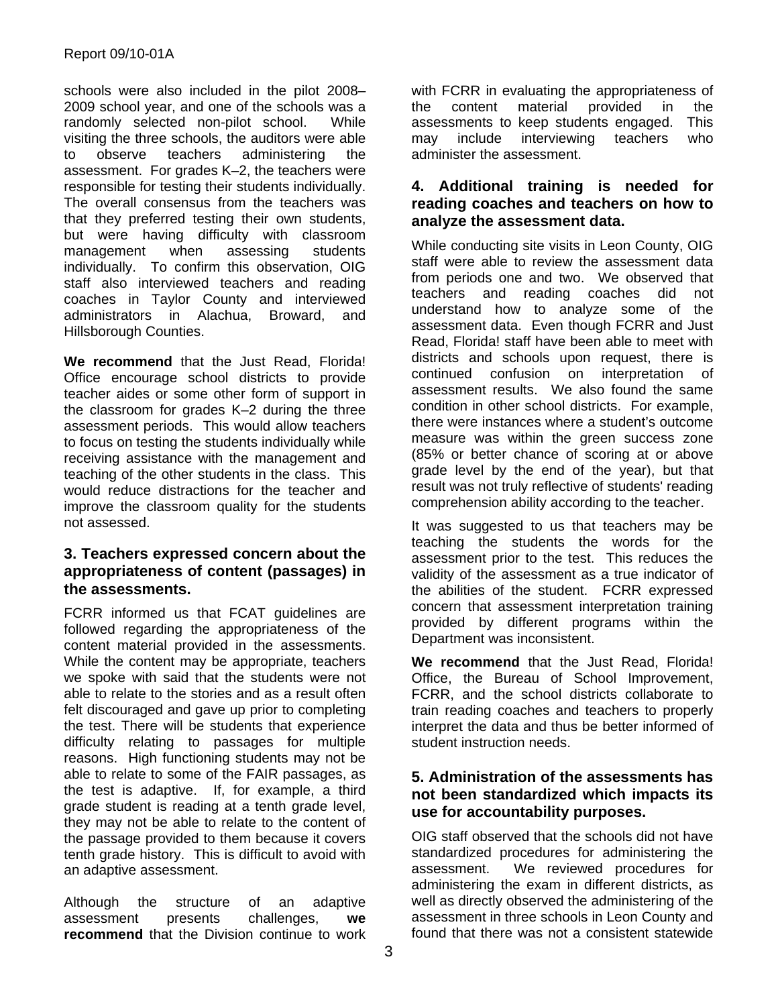schools were also included in the pilot 2008– 2009 school year, and one of the schools was a randomly selected non-pilot school. While visiting the three schools, the auditors were able to observe teachers administering the assessment. For grades K–2, the teachers were responsible for testing their students individually. The overall consensus from the teachers was that they preferred testing their own students, but were having difficulty with classroom management when assessing students individually. To confirm this observation, OIG staff also interviewed teachers and reading coaches in Taylor County and interviewed administrators in Alachua, Broward, and Hillsborough Counties.

**We recommend** that the Just Read, Florida! Office encourage school districts to provide teacher aides or some other form of support in the classroom for grades K–2 during the three assessment periods. This would allow teachers to focus on testing the students individually while receiving assistance with the management and teaching of the other students in the class. This would reduce distractions for the teacher and improve the classroom quality for the students not assessed.

#### **3. Teachers expressed concern about the appropriateness of content (passages) in the assessments.**

FCRR informed us that FCAT guidelines are followed regarding the appropriateness of the content material provided in the assessments. While the content may be appropriate, teachers we spoke with said that the students were not able to relate to the stories and as a result often felt discouraged and gave up prior to completing the test. There will be students that experience difficulty relating to passages for multiple reasons. High functioning students may not be able to relate to some of the FAIR passages, as the test is adaptive. If, for example, a third grade student is reading at a tenth grade level, they may not be able to relate to the content of the passage provided to them because it covers tenth grade history. This is difficult to avoid with an adaptive assessment.

Although the structure of an adaptive assessment presents challenges, **we recommend** that the Division continue to work with FCRR in evaluating the appropriateness of the content material provided in the assessments to keep students engaged. This may include interviewing teachers who administer the assessment.

#### **4. Additional training is needed for reading coaches and teachers on how to analyze the assessment data.**

While conducting site visits in Leon County, OIG staff were able to review the assessment data from periods one and two. We observed that teachers and reading coaches did not understand how to analyze some of the assessment data. Even though FCRR and Just Read, Florida! staff have been able to meet with districts and schools upon request, there is continued confusion on interpretation of assessment results. We also found the same condition in other school districts. For example, there were instances where a student's outcome measure was within the green success zone (85% or better chance of scoring at or above grade level by the end of the year), but that result was not truly reflective of students' reading comprehension ability according to the teacher.

It was suggested to us that teachers may be teaching the students the words for the assessment prior to the test. This reduces the validity of the assessment as a true indicator of the abilities of the student. FCRR expressed concern that assessment interpretation training provided by different programs within the Department was inconsistent.

**We recommend** that the Just Read, Florida! Office, the Bureau of School Improvement, FCRR, and the school districts collaborate to train reading coaches and teachers to properly interpret the data and thus be better informed of student instruction needs.

#### **5. Administration of the assessments has not been standardized which impacts its use for accountability purposes.**

OIG staff observed that the schools did not have standardized procedures for administering the assessment. We reviewed procedures for administering the exam in different districts, as well as directly observed the administering of the assessment in three schools in Leon County and found that there was not a consistent statewide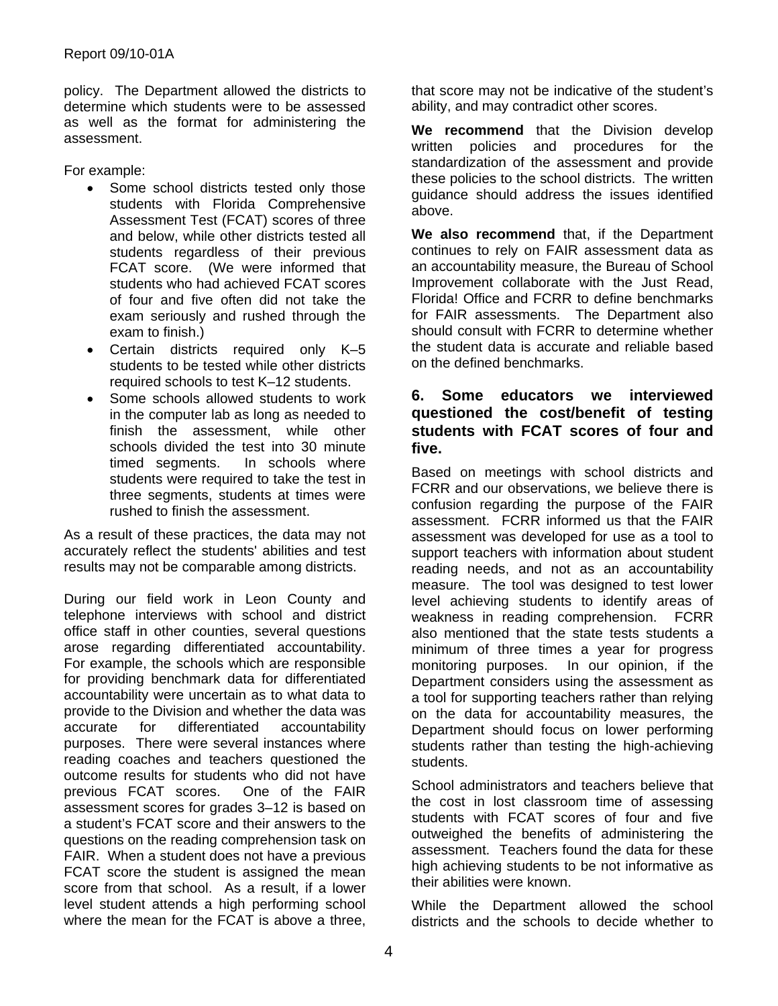policy. The Department allowed the districts to determine which students were to be assessed as well as the format for administering the assessment.

For example:

- Some school districts tested only those students with Florida Comprehensive Assessment Test (FCAT) scores of three and below, while other districts tested all students regardless of their previous FCAT score. (We were informed that students who had achieved FCAT scores of four and five often did not take the exam seriously and rushed through the exam to finish.)
- Certain districts required only K–5 students to be tested while other districts required schools to test K–12 students.
- Some schools allowed students to work in the computer lab as long as needed to finish the assessment, while other schools divided the test into 30 minute timed segments. In schools where students were required to take the test in three segments, students at times were rushed to finish the assessment.

As a result of these practices, the data may not accurately reflect the students' abilities and test results may not be comparable among districts.

During our field work in Leon County and telephone interviews with school and district office staff in other counties, several questions arose regarding differentiated accountability. For example, the schools which are responsible for providing benchmark data for differentiated accountability were uncertain as to what data to provide to the Division and whether the data was accurate for differentiated accountability purposes. There were several instances where reading coaches and teachers questioned the outcome results for students who did not have<br>previous FCAT scores. One of the FAIR previous FCAT scores. assessment scores for grades 3–12 is based on a student's FCAT score and their answers to the questions on the reading comprehension task on FAIR. When a student does not have a previous FCAT score the student is assigned the mean score from that school. As a result, if a lower level student attends a high performing school where the mean for the FCAT is above a three,

that score may not be indicative of the student's ability, and may contradict other scores.

**We recommend** that the Division develop written policies and procedures for the standardization of the assessment and provide these policies to the school districts. The written guidance should address the issues identified above.

**We also recommend** that, if the Department continues to rely on FAIR assessment data as an accountability measure, the Bureau of School Improvement collaborate with the Just Read, Florida! Office and FCRR to define benchmarks for FAIR assessments. The Department also should consult with FCRR to determine whether the student data is accurate and reliable based on the defined benchmarks.

#### **6. Some educators we interviewed questioned the cost/benefit of testing students with FCAT scores of four and five.**

Based on meetings with school districts and FCRR and our observations, we believe there is confusion regarding the purpose of the FAIR assessment. FCRR informed us that the FAIR assessment was developed for use as a tool to support teachers with information about student reading needs, and not as an accountability measure. The tool was designed to test lower level achieving students to identify areas of weakness in reading comprehension. FCRR also mentioned that the state tests students a minimum of three times a year for progress monitoring purposes. In our opinion, if the Department considers using the assessment as a tool for supporting teachers rather than relying on the data for accountability measures, the Department should focus on lower performing students rather than testing the high-achieving students.

School administrators and teachers believe that the cost in lost classroom time of assessing students with FCAT scores of four and five outweighed the benefits of administering the assessment. Teachers found the data for these high achieving students to be not informative as their abilities were known.

While the Department allowed the school districts and the schools to decide whether to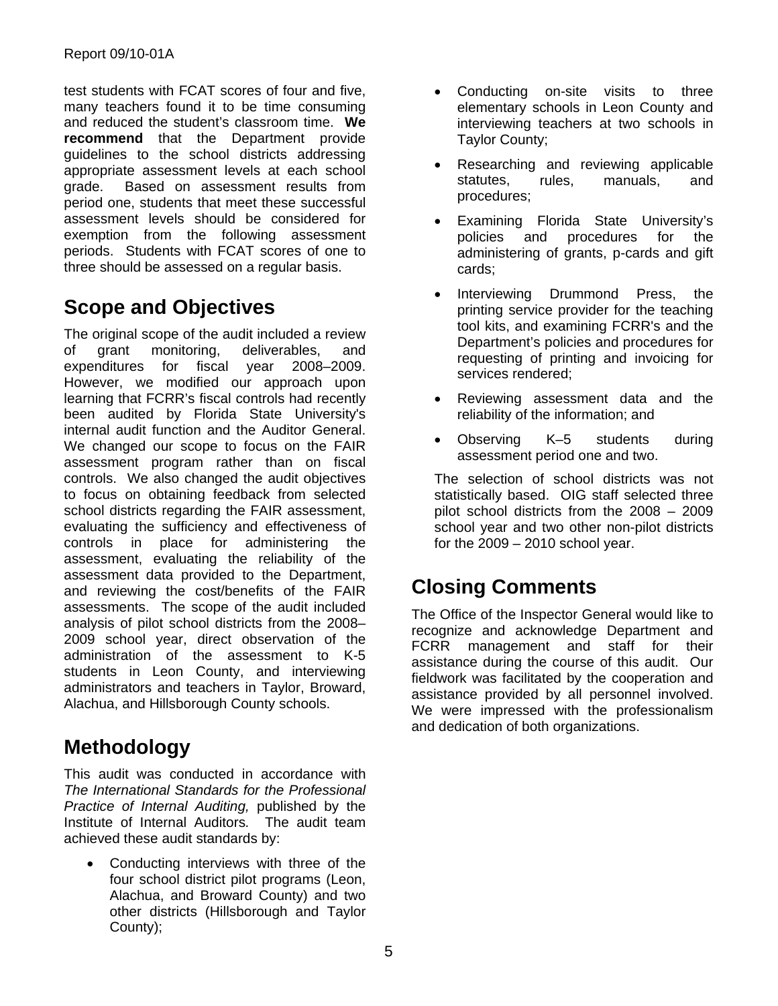test students with FCAT scores of four and five, many teachers found it to be time consuming and reduced the student's classroom time. **We recommend** that the Department provide guidelines to the school districts addressing appropriate assessment levels at each school grade. Based on assessment results from period one, students that meet these successful assessment levels should be considered for exemption from the following assessment periods. Students with FCAT scores of one to three should be assessed on a regular basis.

# **Scope and Objectives**

The original scope of the audit included a review of grant monitoring, deliverables, and expenditures for fiscal year 2008–2009. However, we modified our approach upon learning that FCRR's fiscal controls had recently been audited by Florida State University's internal audit function and the Auditor General. We changed our scope to focus on the FAIR assessment program rather than on fiscal controls. We also changed the audit objectives to focus on obtaining feedback from selected school districts regarding the FAIR assessment, evaluating the sufficiency and effectiveness of controls in place for administering the assessment, evaluating the reliability of the assessment data provided to the Department, and reviewing the cost/benefits of the FAIR assessments. The scope of the audit included analysis of pilot school districts from the 2008– 2009 school year, direct observation of the administration of the assessment to K-5 students in Leon County, and interviewing administrators and teachers in Taylor, Broward, Alachua, and Hillsborough County schools.

## **Methodology**

This audit was conducted in accordance with *The International Standards for the Professional Practice of Internal Auditing,* published by the Institute of Internal Auditors*.* The audit team achieved these audit standards by:

 Conducting interviews with three of the four school district pilot programs (Leon, Alachua, and Broward County) and two other districts (Hillsborough and Taylor County);

- Conducting on-site visits to three elementary schools in Leon County and interviewing teachers at two schools in Taylor County;
- Researching and reviewing applicable statutes, rules, manuals, and procedures;
- Examining Florida State University's policies and procedures for the administering of grants, p-cards and gift cards;
- Interviewing Drummond Press, the printing service provider for the teaching tool kits, and examining FCRR's and the Department's policies and procedures for requesting of printing and invoicing for services rendered;
- Reviewing assessment data and the reliability of the information; and
- Observing K–5 students during assessment period one and two.

The selection of school districts was not statistically based. OIG staff selected three pilot school districts from the 2008 – 2009 school year and two other non-pilot districts for the  $2009 - 2010$  school year.

# **Closing Comments**

The Office of the Inspector General would like to recognize and acknowledge Department and FCRR management and staff for their assistance during the course of this audit. Our fieldwork was facilitated by the cooperation and assistance provided by all personnel involved. We were impressed with the professionalism and dedication of both organizations.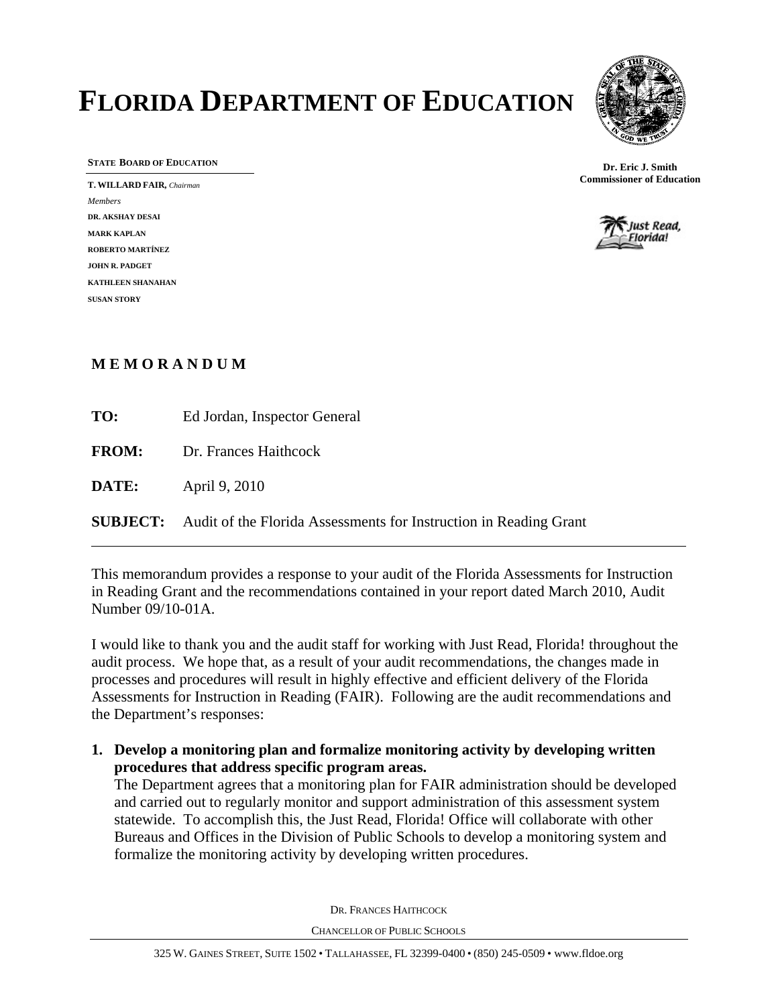# **FLORIDA DEPARTMENT OF EDUCATION**



**STATE BOARD OF EDUCATION**

**T. WILLARD FAIR,** *Chairman Members* **DR. AKSHAY DESAI MARK KAPLAN ROBERTO MARTÍNEZ JOHN R. PADGET KATHLEEN SHANAHAN SUSAN STORY** 





#### **M E M O R A N D U M**

 $\overline{a}$ 

| TO:          | Ed Jordan, Inspector General                                                      |
|--------------|-----------------------------------------------------------------------------------|
|              | <b>FROM:</b> Dr. Frances Haithcock                                                |
| <b>DATE:</b> | April 9, 2010                                                                     |
|              | <b>SUBJECT:</b> Audit of the Florida Assessments for Instruction in Reading Grant |

This memorandum provides a response to your audit of the Florida Assessments for Instruction in Reading Grant and the recommendations contained in your report dated March 2010, Audit Number 09/10-01A.

I would like to thank you and the audit staff for working with Just Read, Florida! throughout the audit process. We hope that, as a result of your audit recommendations, the changes made in processes and procedures will result in highly effective and efficient delivery of the Florida Assessments for Instruction in Reading (FAIR). Following are the audit recommendations and the Department's responses:

**1. Develop a monitoring plan and formalize monitoring activity by developing written procedures that address specific program areas.** 

The Department agrees that a monitoring plan for FAIR administration should be developed and carried out to regularly monitor and support administration of this assessment system statewide. To accomplish this, the Just Read, Florida! Office will collaborate with other Bureaus and Offices in the Division of Public Schools to develop a monitoring system and formalize the monitoring activity by developing written procedures.

DR. FRANCES HAITHCOCK

CHANCELLOR OF PUBLIC SCHOOLS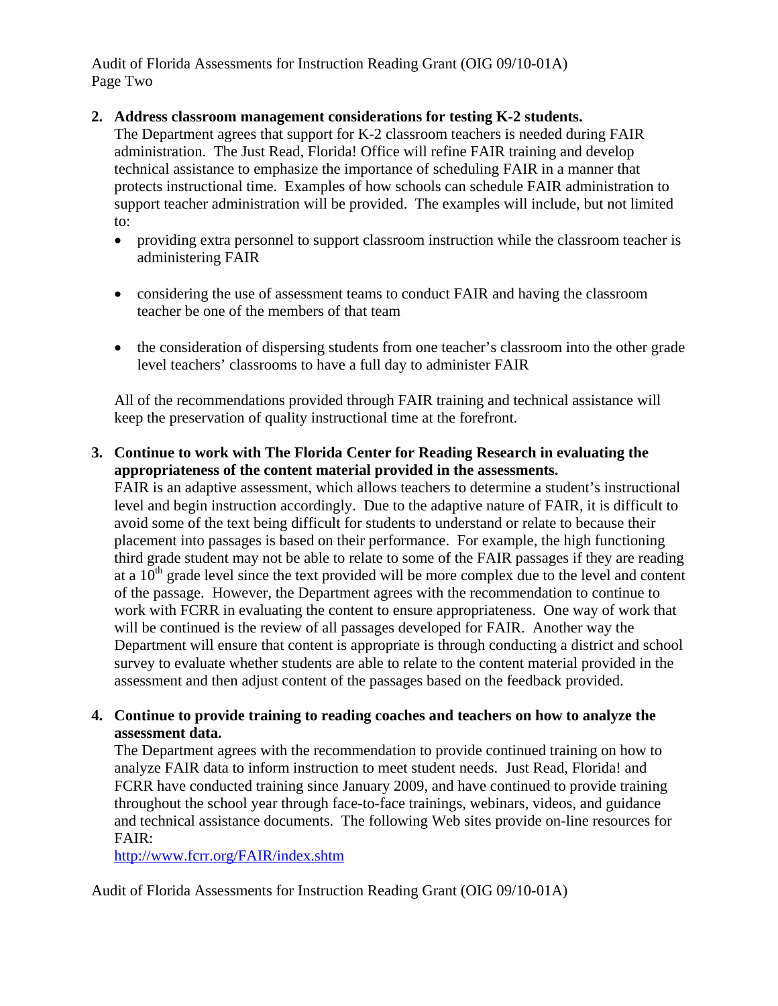Audit of Florida Assessments for Instruction Reading Grant (OIG 09/10-01A) Page Two

#### **2. Address classroom management considerations for testing K-2 students.**

The Department agrees that support for K-2 classroom teachers is needed during FAIR administration. The Just Read, Florida! Office will refine FAIR training and develop technical assistance to emphasize the importance of scheduling FAIR in a manner that protects instructional time. Examples of how schools can schedule FAIR administration to support teacher administration will be provided. The examples will include, but not limited to:

- providing extra personnel to support classroom instruction while the classroom teacher is administering FAIR
- considering the use of assessment teams to conduct FAIR and having the classroom teacher be one of the members of that team
- the consideration of dispersing students from one teacher's classroom into the other grade level teachers' classrooms to have a full day to administer FAIR

All of the recommendations provided through FAIR training and technical assistance will keep the preservation of quality instructional time at the forefront.

#### **3. Continue to work with The Florida Center for Reading Research in evaluating the appropriateness of the content material provided in the assessments.**

FAIR is an adaptive assessment, which allows teachers to determine a student's instructional level and begin instruction accordingly. Due to the adaptive nature of FAIR, it is difficult to avoid some of the text being difficult for students to understand or relate to because their placement into passages is based on their performance. For example, the high functioning third grade student may not be able to relate to some of the FAIR passages if they are reading at a  $10<sup>th</sup>$  grade level since the text provided will be more complex due to the level and content of the passage. However, the Department agrees with the recommendation to continue to work with FCRR in evaluating the content to ensure appropriateness. One way of work that will be continued is the review of all passages developed for FAIR. Another way the Department will ensure that content is appropriate is through conducting a district and school survey to evaluate whether students are able to relate to the content material provided in the assessment and then adjust content of the passages based on the feedback provided.

#### **4. Continue to provide training to reading coaches and teachers on how to analyze the assessment data.**

The Department agrees with the recommendation to provide continued training on how to analyze FAIR data to inform instruction to meet student needs. Just Read, Florida! and FCRR have conducted training since January 2009, and have continued to provide training throughout the school year through face-to-face trainings, webinars, videos, and guidance and technical assistance documents. The following Web sites provide on-line resources for FAIR:

<http://www.fcrr.org/FAIR/index.shtm>

Audit of Florida Assessments for Instruction Reading Grant (OIG 09/10-01A)